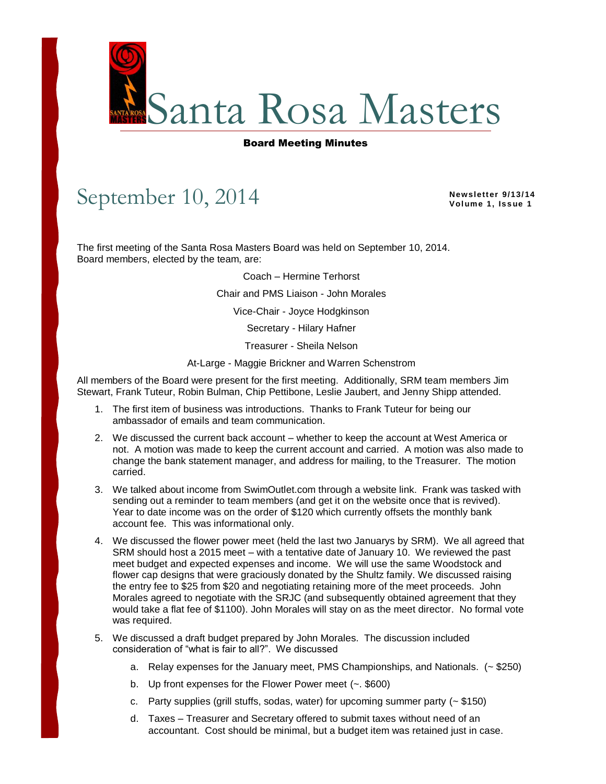

## Board Meeting Minutes

## September 10, 2014

**Newsletter 9/13/14 Vol ume 1, Is s ue 1**

The first meeting of the Santa Rosa Masters Board was held on September 10, 2014. Board members, elected by the team, are:

Coach – Hermine Terhorst

Chair and PMS Liaison - John Morales

Vice-Chair - Joyce Hodgkinson

Secretary - Hilary Hafner

Treasurer - Sheila Nelson

At-Large - Maggie Brickner and Warren Schenstrom

All members of the Board were present for the first meeting. Additionally, SRM team members Jim Stewart, Frank Tuteur, Robin Bulman, Chip Pettibone, Leslie Jaubert, and Jenny Shipp attended.

- 1. The first item of business was introductions. Thanks to Frank Tuteur for being our ambassador of emails and team communication.
- 2. We discussed the current back account whether to keep the account at West America or not. A motion was made to keep the current account and carried. A motion was also made to change the bank statement manager, and address for mailing, to the Treasurer. The motion carried.
- 3. We talked about income from SwimOutlet.com through a website link. Frank was tasked with sending out a reminder to team members (and get it on the website once that is revived). Year to date income was on the order of \$120 which currently offsets the monthly bank account fee. This was informational only.
- 4. We discussed the flower power meet (held the last two Januarys by SRM). We all agreed that SRM should host a 2015 meet – with a tentative date of January 10. We reviewed the past meet budget and expected expenses and income. We will use the same Woodstock and flower cap designs that were graciously donated by the Shultz family. We discussed raising the entry fee to \$25 from \$20 and negotiating retaining more of the meet proceeds. John Morales agreed to negotiate with the SRJC (and subsequently obtained agreement that they would take a flat fee of \$1100). John Morales will stay on as the meet director. No formal vote was required.
- 5. We discussed a draft budget prepared by John Morales. The discussion included consideration of "what is fair to all?". We discussed
	- a. Relay expenses for the January meet, PMS Championships, and Nationals. (~ \$250)
	- b. Up front expenses for the Flower Power meet (~. \$600)
	- c. Party supplies (grill stuffs, sodas, water) for upcoming summer party  $(-\$150)$
	- d. Taxes Treasurer and Secretary offered to submit taxes without need of an accountant. Cost should be minimal, but a budget item was retained just in case.